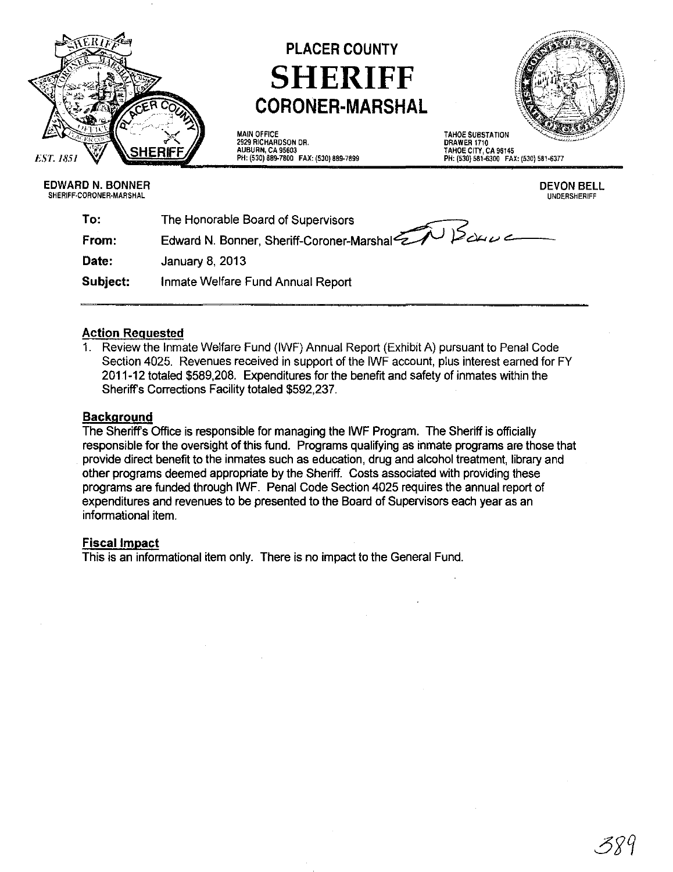

# PLACER COUNTY **SHERIFF CORONER-MARSHAL**



MAIN OFFICE 2929 RICHARDSON DR. AUBURN, CA 95603 PH, (530) 889-7B00 FAX, (530) 889-7899 TAHOE SUBSTATION DRAWER 1710 TAHOE CITY, CA 96145 PH, (530) 581-6300 FAX, (530) 581-6377

EDWARD N. BONNER SHERIFF-CORONER-MARSHAL

DEVON BELL UNDERSHERIFF

| To:      | The Honorable Board of Supervisors            |
|----------|-----------------------------------------------|
| From:    | Edward N. Bonner, Sheriff-Coroner-Marshal 200 |
| Date:    | January 8, 2013                               |
| Subject: | Inmate Welfare Fund Annual Report             |

### Action Requested

1. Review the Inmate Welfare Fund (IWF) Annual Report (Exhibit A) pursuant to Penal Code Section 4025. Revenues received in support of the IWF account, plus interest earned for FY 2011-12 totaled \$589,208. Expenditures for the benefit and safety of inmates within the Sheriffs Corrections Facility totaled \$592,237.

### **Background**

The Sheriffs Office is responsible for managing the IWF Program. The Sheriff is officially responsible for the oversight of this fund. Programs qualifying as inmate programs are those that provide direct benefit to the inmates such as education, drug and alcohol treatment, library and other programs deemed appropriate by the Sheriff. Costs associated with providing these programs are funded through IWF. Penal Code Section 4025 requires the annual report of expenditures and revenues to be presented to the Board of Supervisors each year as an informational item.

### Fiscal Impact

This is an informational item only. There is no impact to the General Fund.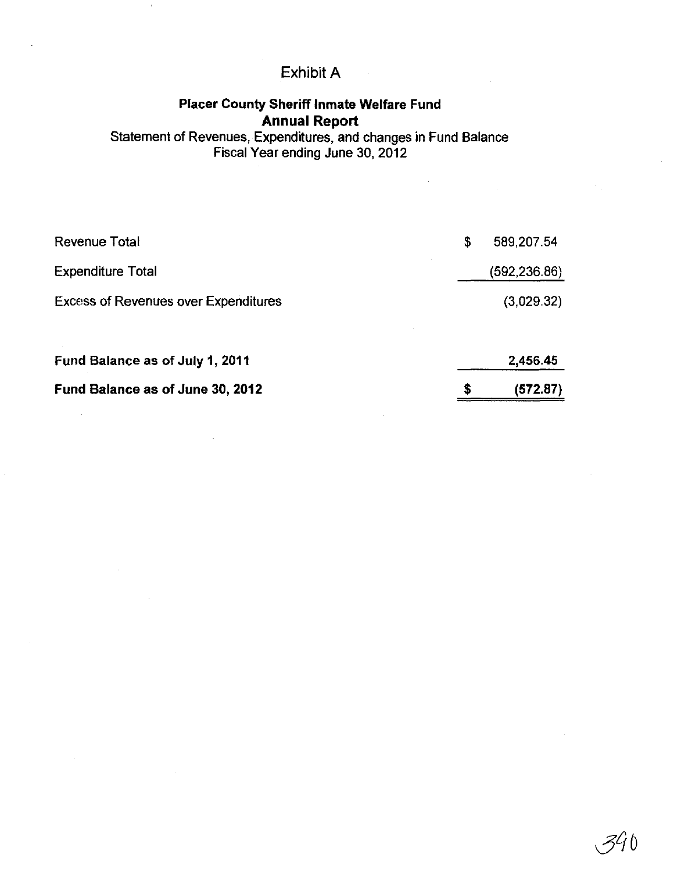# Exhibit A

## Placer County Sheriff Inmate Welfare Fund Annual Report

Statement of Revenues, Expenditures, and changes in Fund Balance Fiscal Year ending June 30,2012

 $\bar{z}$ 

| Fund Balance as of June 30, 2012            | S  | (572.87)     |
|---------------------------------------------|----|--------------|
| Fund Balance as of July 1, 2011             |    | 2,456.45     |
| <b>Excess of Revenues over Expenditures</b> |    | (3,029.32)   |
| <b>Expenditure Total</b>                    |    | (592,236.86) |
| <b>Revenue Total</b>                        | \$ | 589,207.54   |

34 O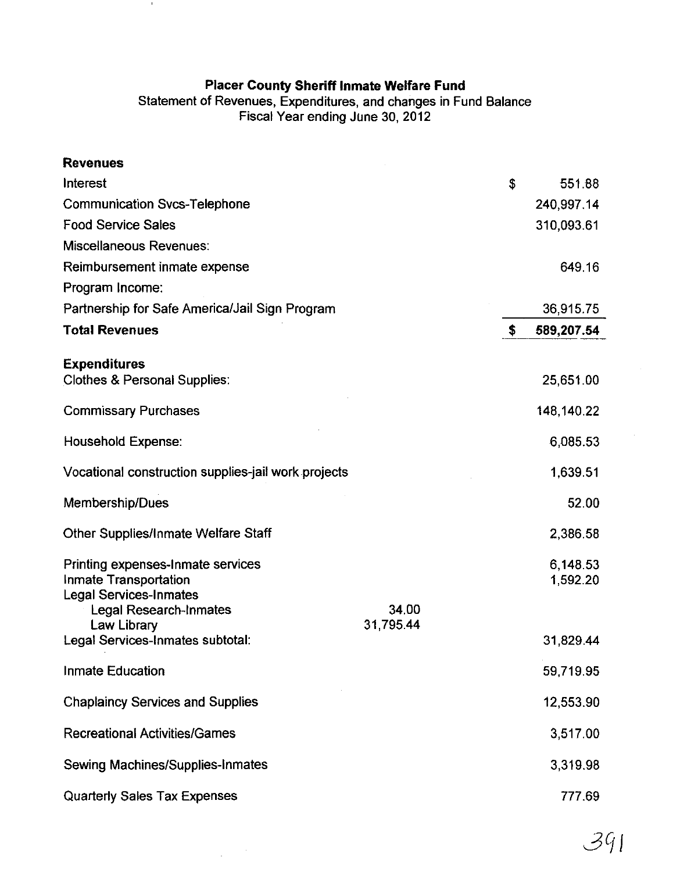### **Placer County Sheriff Inmate Welfare Fund**

 $\mathbf{u}$ 

Statement of Revenues, Expenditures, and changes in Fund Balance Fiscal Year ending June 30,2012

| <b>Revenues</b>                                                                             |                    |                      |
|---------------------------------------------------------------------------------------------|--------------------|----------------------|
| Interest                                                                                    |                    | \$<br>551.88         |
| <b>Communication Svcs-Telephone</b>                                                         |                    | 240,997.14           |
| <b>Food Service Sales</b>                                                                   |                    | 310,093.61           |
| <b>Miscellaneous Revenues:</b>                                                              |                    |                      |
| Reimbursement inmate expense                                                                |                    | 649.16               |
| Program Income:                                                                             |                    |                      |
| Partnership for Safe America/Jail Sign Program                                              |                    | 36,915.75            |
| <b>Total Revenues</b>                                                                       |                    | \$<br>589,207.54     |
| <b>Expenditures</b><br><b>Clothes &amp; Personal Supplies:</b>                              |                    | 25,651.00            |
| <b>Commissary Purchases</b>                                                                 |                    | 148,140.22           |
| <b>Household Expense:</b>                                                                   |                    | 6,085.53             |
| Vocational construction supplies-jail work projects                                         |                    | 1,639.51             |
| Membership/Dues                                                                             |                    | 52.00                |
| Other Supplies/Inmate Welfare Staff                                                         |                    | 2,386.58             |
| Printing expenses-Inmate services<br>Inmate Transportation<br><b>Legal Services-Inmates</b> |                    | 6,148.53<br>1,592.20 |
| <b>Legal Research-Inmates</b><br>Law Library                                                | 34.00<br>31,795.44 |                      |
| Legal Services-Inmates subtotal:                                                            |                    | 31,829.44            |
| <b>Inmate Education</b>                                                                     |                    | 59,719.95            |
| <b>Chaplaincy Services and Supplies</b>                                                     |                    | 12,553.90            |
| <b>Recreational Activities/Games</b>                                                        |                    | 3,517.00             |
| <b>Sewing Machines/Supplies-Inmates</b>                                                     |                    | 3,319.98             |
| <b>Quarterly Sales Tax Expenses</b>                                                         |                    | 777.69               |

 $\label{eq:2.1} \frac{1}{\sqrt{2\pi}}\left(\frac{1}{\sqrt{2\pi}}\right)^{1/2}\frac{1}{\sqrt{2\pi}}\,.$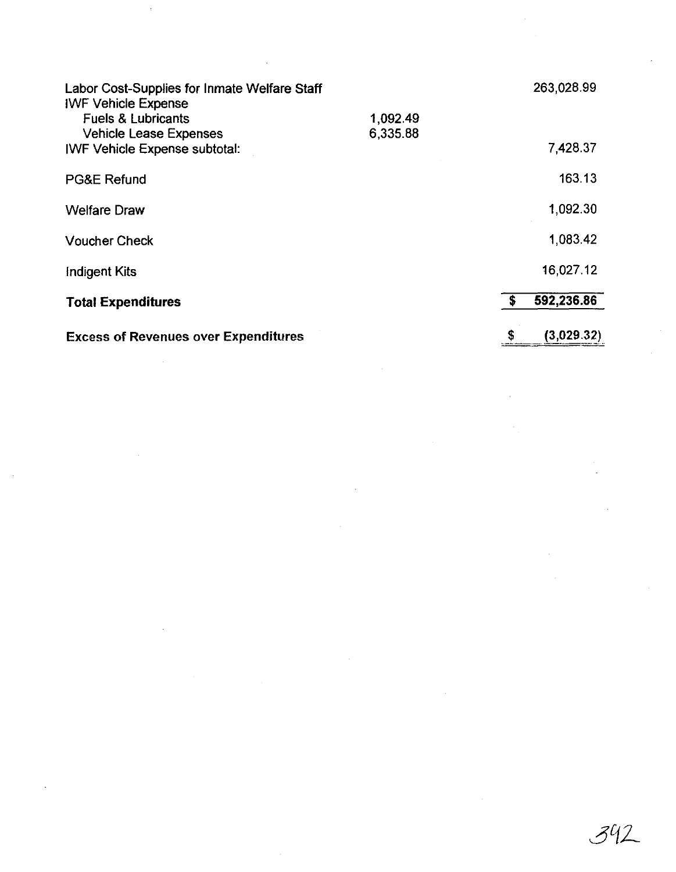| Labor Cost-Supplies for Inmate Welfare Staff<br><b>IWF Vehicle Expense</b> |                      |     | 263,028.99 |
|----------------------------------------------------------------------------|----------------------|-----|------------|
| <b>Fuels &amp; Lubricants</b><br><b>Vehicle Lease Expenses</b>             | 1,092.49<br>6,335.88 |     |            |
| <b>IWF Vehicle Expense subtotal:</b>                                       |                      |     | 7,428.37   |
| <b>PG&amp;E Refund</b>                                                     |                      |     | 163.13     |
| <b>Welfare Draw</b>                                                        |                      |     | 1,092.30   |
| <b>Voucher Check</b>                                                       |                      |     | 1,083.42   |
| Indigent Kits                                                              |                      |     | 16,027.12  |
| <b>Total Expenditures</b>                                                  |                      | -\$ | 592,236.86 |
| <b>Excess of Revenues over Expenditures</b>                                |                      | \$  | (3,029.32) |

 $\sim 10^7$ 

 $\hat{\mathcal{A}}$ 

 $\label{eq:2.1} \frac{1}{\sqrt{2}}\left(\frac{1}{\sqrt{2}}\right)^{2} \left(\frac{1}{\sqrt{2}}\right)^{2} \left(\frac{1}{\sqrt{2}}\right)^{2} \left(\frac{1}{\sqrt{2}}\right)^{2} \left(\frac{1}{\sqrt{2}}\right)^{2} \left(\frac{1}{\sqrt{2}}\right)^{2} \left(\frac{1}{\sqrt{2}}\right)^{2} \left(\frac{1}{\sqrt{2}}\right)^{2} \left(\frac{1}{\sqrt{2}}\right)^{2} \left(\frac{1}{\sqrt{2}}\right)^{2} \left(\frac{1}{\sqrt{2}}\right)^{2} \left(\$ 

 $\sim 400$ 

 $\sim 10^{-1}$ 

 $342$ 

 $\mathcal{F}_{\rm{int}}$  .

 $\sim$